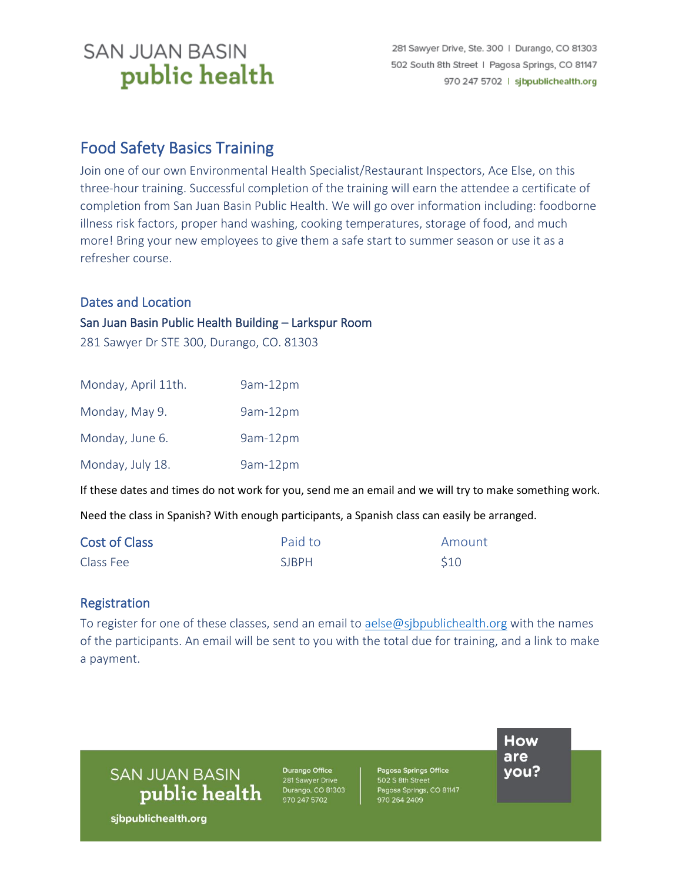# **SAN JUAN BASIN** public health

### Food Safety Basics Training

Join one of our own Environmental Health Specialist/Restaurant Inspectors, Ace Else, on this three-hour training. Successful completion of the training will earn the attendee a certificate of completion from San Juan Basin Public Health. We will go over information including: foodborne illness risk factors, proper hand washing, cooking temperatures, storage of food, and much more! Bring your new employees to give them a safe start to summer season or use it as a refresher course.

#### Dates and Location

#### San Juan Basin Public Health Building – Larkspur Room

281 Sawyer Dr STE 300, Durango, CO. 81303

| Monday, April 11th. | 9am-12pm |
|---------------------|----------|
| Monday, May 9.      | 9am-12pm |
| Monday, June 6.     | 9am-12pm |
| Monday, July 18.    | 9am-12pm |

If these dates and times do not work for you, send me an email and we will try to make something work.

Need the class in Spanish? With enough participants, a Spanish class can easily be arranged.

| <b>Cost of Class</b> | Paid to      | Amount     |
|----------------------|--------------|------------|
| Class Fee            | <b>SIRPH</b> | <b>S10</b> |

#### Registration

To register for one of these classes, send an email to [aelse@sjbpublichealth.org](mailto:aelse@sjbpublichealth.org) with the names of the participants. An email will be sent to you with the total due for training, and a link to make a payment.

**SAN JUAN BASIN** public health

**Durango Office**<br>281 Sawyer Drive Durango, CO 81303 970 247 5702

Pagosa Springs Office 502 S 8th Street Pagosa Springs, CO 81147 970 264 2409

How are you?

sjbpublichealth.org